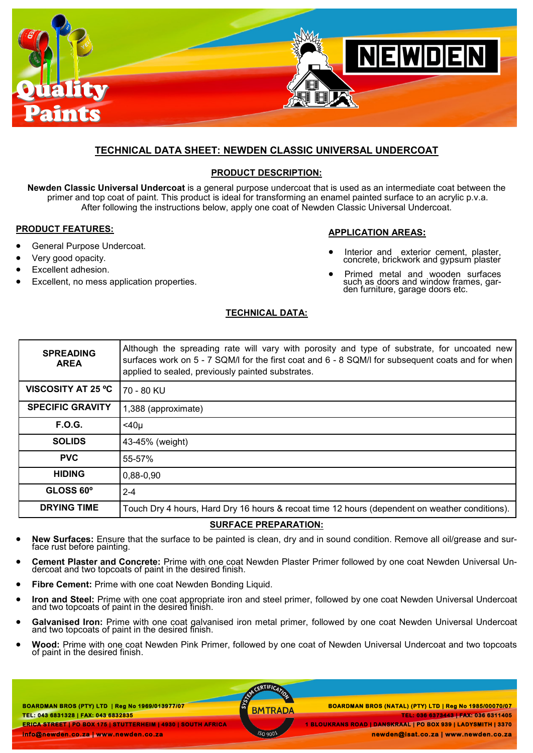

# **TECHNICAL DATA SHEET: NEWDEN CLASSIC UNIVERSAL UNDERCOAT**

## **PRODUCT DESCRIPTION:**

**Newden Classic Universal Undercoat** is a general purpose undercoat that is used as an intermediate coat between the primer and top coat of paint. This product is ideal for transforming an enamel painted surface to an acrylic p.v.a. After following the instructions below, apply one coat of Newden Classic Universal Undercoat.

#### **PRODUCT FEATURES:**

- General Purpose Undercoat.
- Very good opacity.
- Excellent adhesion.
- Excellent, no mess application properties.

## **APPLICATION AREAS:**

- Interior and exterior cement, plaster, concrete, brickwork and gypsum plaster
- Primed metal and wooden surfaces such as doors and window frames, garden furniture, garage doors etc.

## **TECHNICAL DATA:**

| <b>SPREADING</b><br><b>AREA</b> | Although the spreading rate will vary with porosity and type of substrate, for uncoated new<br>surfaces work on 5 - 7 SQM/I for the first coat and 6 - 8 SQM/I for subsequent coats and for when<br>applied to sealed, previously painted substrates. |
|---------------------------------|-------------------------------------------------------------------------------------------------------------------------------------------------------------------------------------------------------------------------------------------------------|
| <b>VISCOSITY AT 25 °C</b>       | 70 - 80 KU                                                                                                                                                                                                                                            |
| <b>SPECIFIC GRAVITY</b>         | 1,388 (approximate)                                                                                                                                                                                                                                   |
| <b>F.O.G.</b>                   | $<$ 40 $\mu$                                                                                                                                                                                                                                          |
| <b>SOLIDS</b>                   | 43-45% (weight)                                                                                                                                                                                                                                       |
| <b>PVC</b>                      | 55-57%                                                                                                                                                                                                                                                |
| <b>HIDING</b>                   | $0,88-0,90$                                                                                                                                                                                                                                           |
| GLOSS 60°                       | $2 - 4$                                                                                                                                                                                                                                               |
| <b>DRYING TIME</b>              | Touch Dry 4 hours, Hard Dry 16 hours & recoat time 12 hours (dependent on weather conditions).                                                                                                                                                        |

#### **SURFACE PREPARATION:**

- **New Surfaces:** Ensure that the surface to be painted is clean, dry and in sound condition. Remove all oil/grease and surface rust before painting.
- **Cement Plaster and Concrete:** Prime with one coat Newden Plaster Primer followed by one coat Newden Universal Undercoat and two topcoats of paint in the desired finish.
- **Fibre Cement:** Prime with one coat Newden Bonding Liquid.
- **Iron and Steel:** Prime with one coat appropriate iron and steel primer, followed by one coat Newden Universal Undercoat and two topcoats of paint in the desired finish.
- **Galvanised Iron:** Prime with one coat galvanised iron metal primer, followed by one coat Newden Universal Undercoat and two topcoats of paint in the desired finish.
- **Wood:** Prime with one coat Newden Pink Primer, followed by one coat of Newden Universal Undercoat and two topcoats of paint in the desired finish.

**BOARDMAN BROS (PTY) LTD | Reg No 1969/013977/07 TEL: 043 6831328 | FAX: 043 6832835 ERICA STREET | PO BOX 175 | STUTTERHEIM | 4930 | SOUTH AFRICA info@newden.co.za | www.newden.co.za** 

MCERTIFICATIO

 **BOARDMAN BROS (PTY) LTD | Reg No 1969/013977/07 BOARDMAN BROS (NATAL) (PTY) LTD | Reg No 1985/00070/07 TEL: 036 6373443 | FAX: 036 6311405 1 BLOUKRANS ROAD | DANSKRAAL | PO BOX 939 | LADYSMITH | 3370** 

 **newden@isat.co.za | www.newden.co.za**